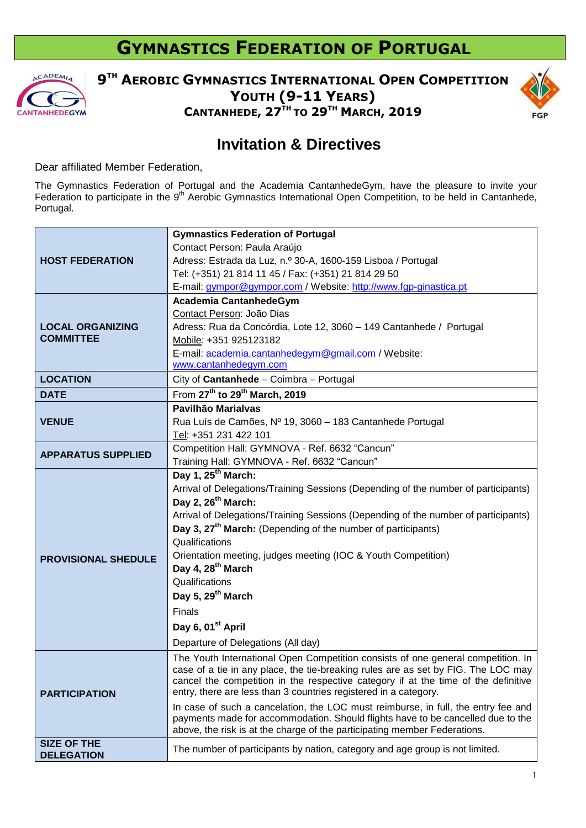## **GYMNASTICS FEDERATION OF PORTUGAL**



**9 TH AEROBIC GYMNASTICS INTERNATIONAL OPEN COMPETITION YOUTH (9-11 YEARS) CANTANHEDE, 27 TH TO 29 TH MARCH, 2019**



## **Invitation & Directives**

Dear affiliated Member Federation,

The Gymnastics Federation of Portugal and the Academia CantanhedeGym, have the pleasure to invite your Federation to participate in the 9<sup>th</sup> Aerobic Gymnastics International Open Competition, to be held in Cantanhede, Portugal.

| <b>HOST FEDERATION</b>     | <b>Gymnastics Federation of Portugal</b>                                                                                                                                                                                                          |
|----------------------------|---------------------------------------------------------------------------------------------------------------------------------------------------------------------------------------------------------------------------------------------------|
|                            | Contact Person: Paula Araújo                                                                                                                                                                                                                      |
|                            | Adress: Estrada da Luz, n.º 30-A, 1600-159 Lisboa / Portugal                                                                                                                                                                                      |
|                            | Tel: (+351) 21 814 11 45 / Fax: (+351) 21 814 29 50                                                                                                                                                                                               |
|                            | E-mail: gympor@gympor.com / Website: http://www.fgp-ginastica.pt                                                                                                                                                                                  |
|                            | Academia CantanhedeGym                                                                                                                                                                                                                            |
|                            | Contact Person: João Dias                                                                                                                                                                                                                         |
| <b>LOCAL ORGANIZING</b>    | Adress: Rua da Concórdia, Lote 12, 3060 - 149 Cantanhede / Portugal                                                                                                                                                                               |
| <b>COMMITTEE</b>           | Mobile: +351 925123182                                                                                                                                                                                                                            |
|                            | E-mail: academia.cantanhedegym@gmail.com / Website:<br>www.cantanhedegym.com                                                                                                                                                                      |
| <b>LOCATION</b>            | City of Cantanhede - Coimbra - Portugal                                                                                                                                                                                                           |
| <b>DATE</b>                | From 27 <sup>th</sup> to 29 <sup>th</sup> March, 2019                                                                                                                                                                                             |
|                            | Pavilhão Marialvas                                                                                                                                                                                                                                |
| <b>VENUE</b>               | Rua Luís de Camões, Nº 19, 3060 - 183 Cantanhede Portugal                                                                                                                                                                                         |
|                            | Tel: +351 231 422 101                                                                                                                                                                                                                             |
|                            | Competition Hall: GYMNOVA - Ref. 6632 "Cancun"                                                                                                                                                                                                    |
| <b>APPARATUS SUPPLIED</b>  | Training Hall: GYMNOVA - Ref. 6632 "Cancun"                                                                                                                                                                                                       |
|                            | Day 1, 25 <sup>th</sup> March:                                                                                                                                                                                                                    |
|                            | Arrival of Delegations/Training Sessions (Depending of the number of participants)                                                                                                                                                                |
|                            | Day 2, 26 <sup>th</sup> March:                                                                                                                                                                                                                    |
|                            | Arrival of Delegations/Training Sessions (Depending of the number of participants)                                                                                                                                                                |
|                            | Day 3, 27 <sup>th</sup> March: (Depending of the number of participants)                                                                                                                                                                          |
|                            | Qualifications                                                                                                                                                                                                                                    |
| <b>PROVISIONAL SHEDULE</b> | Orientation meeting, judges meeting (IOC & Youth Competition)                                                                                                                                                                                     |
|                            | Day 4, 28 <sup>th</sup> March                                                                                                                                                                                                                     |
|                            | Qualifications                                                                                                                                                                                                                                    |
|                            | Day 5, 29 <sup>th</sup> March                                                                                                                                                                                                                     |
|                            | <b>Finals</b>                                                                                                                                                                                                                                     |
|                            | Day 6, 01 <sup>st</sup> April                                                                                                                                                                                                                     |
|                            | Departure of Delegations (All day)                                                                                                                                                                                                                |
|                            | The Youth International Open Competition consists of one general competition. In                                                                                                                                                                  |
|                            | case of a tie in any place, the tie-breaking rules are as set by FIG. The LOC may                                                                                                                                                                 |
|                            | cancel the competition in the respective category if at the time of the definitive                                                                                                                                                                |
| <b>PARTICIPATION</b>       | entry, there are less than 3 countries registered in a category.                                                                                                                                                                                  |
|                            | In case of such a cancelation, the LOC must reimburse, in full, the entry fee and<br>payments made for accommodation. Should flights have to be cancelled due to the<br>above, the risk is at the charge of the participating member Federations. |
| <b>SIZE OF THE</b>         |                                                                                                                                                                                                                                                   |
| <b>DELEGATION</b>          | The number of participants by nation, category and age group is not limited.                                                                                                                                                                      |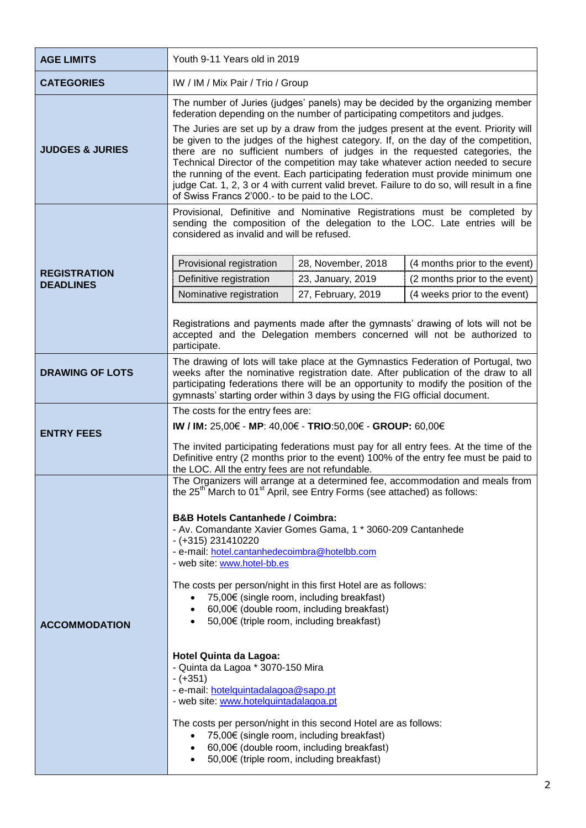| <b>AGE LIMITS</b>                       | Youth 9-11 Years old in 2019                                                                                                                                                                                                                                                                                                                                                                                                                                                                                                                                                                                                                                                                                                                                                                                                                                                                                                                                                                                                                      |
|-----------------------------------------|---------------------------------------------------------------------------------------------------------------------------------------------------------------------------------------------------------------------------------------------------------------------------------------------------------------------------------------------------------------------------------------------------------------------------------------------------------------------------------------------------------------------------------------------------------------------------------------------------------------------------------------------------------------------------------------------------------------------------------------------------------------------------------------------------------------------------------------------------------------------------------------------------------------------------------------------------------------------------------------------------------------------------------------------------|
| <b>CATEGORIES</b>                       | IW / IM / Mix Pair / Trio / Group                                                                                                                                                                                                                                                                                                                                                                                                                                                                                                                                                                                                                                                                                                                                                                                                                                                                                                                                                                                                                 |
| <b>JUDGES &amp; JURIES</b>              | The number of Juries (judges' panels) may be decided by the organizing member<br>federation depending on the number of participating competitors and judges.<br>The Juries are set up by a draw from the judges present at the event. Priority will<br>be given to the judges of the highest category. If, on the day of the competition,<br>there are no sufficient numbers of judges in the requested categories, the<br>Technical Director of the competition may take whatever action needed to secure<br>the running of the event. Each participating federation must provide minimum one<br>judge Cat. 1, 2, 3 or 4 with current valid brevet. Failure to do so, will result in a fine<br>of Swiss Francs 2'000.- to be paid to the LOC.                                                                                                                                                                                                                                                                                                    |
| <b>REGISTRATION</b><br><b>DEADLINES</b> | Provisional, Definitive and Nominative Registrations must be completed by<br>sending the composition of the delegation to the LOC. Late entries will be<br>considered as invalid and will be refused.<br>(4 months prior to the event)<br>Provisional registration<br>28, November, 2018<br>Definitive registration<br>23, January, 2019<br>(2 months prior to the event)<br>27, February, 2019<br>Nominative registration<br>(4 weeks prior to the event)<br>Registrations and payments made after the gymnasts' drawing of lots will not be<br>accepted and the Delegation members concerned will not be authorized to<br>participate.                                                                                                                                                                                                                                                                                                                                                                                                          |
| <b>DRAWING OF LOTS</b>                  | The drawing of lots will take place at the Gymnastics Federation of Portugal, two<br>weeks after the nominative registration date. After publication of the draw to all<br>participating federations there will be an opportunity to modify the position of the<br>gymnasts' starting order within 3 days by using the FIG official document.                                                                                                                                                                                                                                                                                                                                                                                                                                                                                                                                                                                                                                                                                                     |
| <b>ENTRY FEES</b>                       | The costs for the entry fees are:<br>IW / IM: 25,00€ - MP: 40,00€ - TRIO:50,00€ - GROUP: 60,00€<br>The invited participating federations must pay for all entry fees. At the time of the<br>Definitive entry (2 months prior to the event) 100% of the entry fee must be paid to<br>the LOC. All the entry fees are not refundable.                                                                                                                                                                                                                                                                                                                                                                                                                                                                                                                                                                                                                                                                                                               |
| <b>ACCOMMODATION</b>                    | The Organizers will arrange at a determined fee, accommodation and meals from<br>the $25^{\text{m}}$ March to 01 <sup>st</sup> April, see Entry Forms (see attached) as follows:<br><b>B&amp;B Hotels Cantanhede / Coimbra:</b><br>- Av. Comandante Xavier Gomes Gama, 1 * 3060-209 Cantanhede<br>$- (+315) 231410220$<br>- e-mail: hotel.cantanhedecoimbra@hotelbb.com<br>- web site: www.hotel-bb.es<br>The costs per person/night in this first Hotel are as follows:<br>75,00€ (single room, including breakfast)<br>$\bullet$<br>60,00€ (double room, including breakfast)<br>$\bullet$<br>50,00€ (triple room, including breakfast)<br><b>Hotel Quinta da Lagoa:</b><br>- Quinta da Lagoa * 3070-150 Mira<br>$-(+351)$<br>- e-mail: hotelquintadalagoa@sapo.pt<br>- web site: www.hotelquintadalagoa.pt<br>The costs per person/night in this second Hotel are as follows:<br>75,00€ (single room, including breakfast)<br>$\bullet$<br>60,00€ (double room, including breakfast)<br>$\bullet$<br>50,00€ (triple room, including breakfast) |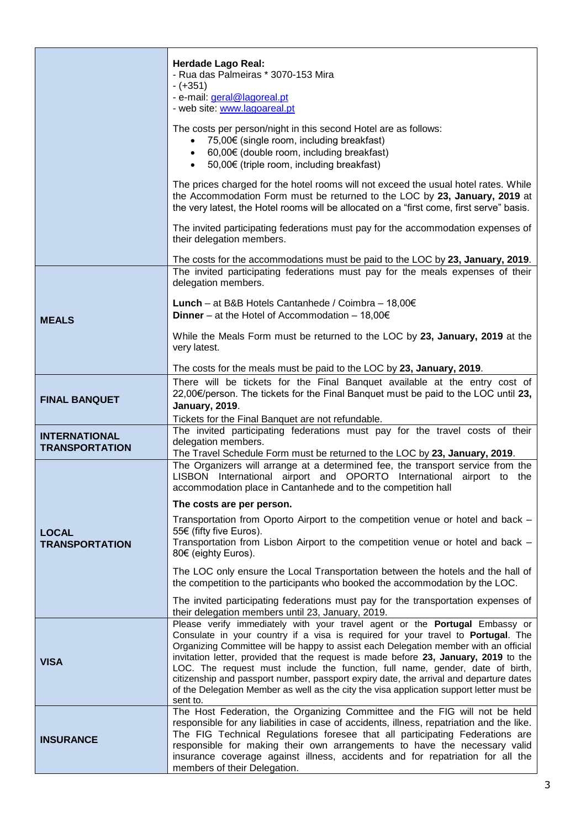|                                               | <b>Herdade Lago Real:</b><br>- Rua das Palmeiras * 3070-153 Mira<br>$-(+351)$<br>- e-mail: geral@lagoreal.pt<br>- web site: www.lagoareal.pt                                                                                                                                                                                                                                                                                                                                                                                                                                                                                       |
|-----------------------------------------------|------------------------------------------------------------------------------------------------------------------------------------------------------------------------------------------------------------------------------------------------------------------------------------------------------------------------------------------------------------------------------------------------------------------------------------------------------------------------------------------------------------------------------------------------------------------------------------------------------------------------------------|
|                                               | The costs per person/night in this second Hotel are as follows:<br>75,00€ (single room, including breakfast)<br>$\bullet$<br>60,00€ (double room, including breakfast)<br>$\bullet$<br>50,00€ (triple room, including breakfast)<br>$\bullet$                                                                                                                                                                                                                                                                                                                                                                                      |
|                                               | The prices charged for the hotel rooms will not exceed the usual hotel rates. While<br>the Accommodation Form must be returned to the LOC by 23, January, 2019 at<br>the very latest, the Hotel rooms will be allocated on a "first come, first serve" basis.                                                                                                                                                                                                                                                                                                                                                                      |
|                                               | The invited participating federations must pay for the accommodation expenses of<br>their delegation members.                                                                                                                                                                                                                                                                                                                                                                                                                                                                                                                      |
|                                               | The costs for the accommodations must be paid to the LOC by 23, January, 2019.<br>The invited participating federations must pay for the meals expenses of their<br>delegation members.                                                                                                                                                                                                                                                                                                                                                                                                                                            |
| <b>MEALS</b>                                  | Lunch - at B&B Hotels Cantanhede / Coimbra - 18,00€<br><b>Dinner</b> – at the Hotel of Accommodation – 18,00 $\in$                                                                                                                                                                                                                                                                                                                                                                                                                                                                                                                 |
|                                               | While the Meals Form must be returned to the LOC by 23, January, 2019 at the<br>very latest.                                                                                                                                                                                                                                                                                                                                                                                                                                                                                                                                       |
|                                               | The costs for the meals must be paid to the LOC by 23, January, 2019.                                                                                                                                                                                                                                                                                                                                                                                                                                                                                                                                                              |
| <b>FINAL BANQUET</b>                          | There will be tickets for the Final Banquet available at the entry cost of<br>22,00€/person. The tickets for the Final Banquet must be paid to the LOC until 23,<br><b>January, 2019.</b>                                                                                                                                                                                                                                                                                                                                                                                                                                          |
|                                               | Tickets for the Final Banquet are not refundable.<br>The invited participating federations must pay for the travel costs of their                                                                                                                                                                                                                                                                                                                                                                                                                                                                                                  |
| <b>INTERNATIONAL</b><br><b>TRANSPORTATION</b> | delegation members.                                                                                                                                                                                                                                                                                                                                                                                                                                                                                                                                                                                                                |
|                                               | The Travel Schedule Form must be returned to the LOC by 23, January, 2019.                                                                                                                                                                                                                                                                                                                                                                                                                                                                                                                                                         |
|                                               | The Organizers will arrange at a determined fee, the transport service from the<br>LISBON International airport and OPORTO International airport to the<br>accommodation place in Cantanhede and to the competition hall                                                                                                                                                                                                                                                                                                                                                                                                           |
|                                               | The costs are per person.                                                                                                                                                                                                                                                                                                                                                                                                                                                                                                                                                                                                          |
| <b>LOCAL</b><br><b>TRANSPORTATION</b>         | Transportation from Oporto Airport to the competition venue or hotel and back -<br>55€ (fifty five Euros).<br>Transportation from Lisbon Airport to the competition venue or hotel and back -<br>80€ (eighty Euros).                                                                                                                                                                                                                                                                                                                                                                                                               |
|                                               | The LOC only ensure the Local Transportation between the hotels and the hall of<br>the competition to the participants who booked the accommodation by the LOC.                                                                                                                                                                                                                                                                                                                                                                                                                                                                    |
|                                               | The invited participating federations must pay for the transportation expenses of<br>their delegation members until 23, January, 2019.                                                                                                                                                                                                                                                                                                                                                                                                                                                                                             |
| <b>VISA</b>                                   | Please verify immediately with your travel agent or the Portugal Embassy or<br>Consulate in your country if a visa is required for your travel to Portugal. The<br>Organizing Committee will be happy to assist each Delegation member with an official<br>invitation letter, provided that the request is made before 23, January, 2019 to the<br>LOC. The request must include the function, full name, gender, date of birth,<br>citizenship and passport number, passport expiry date, the arrival and departure dates<br>of the Delegation Member as well as the city the visa application support letter must be<br>sent to. |
| <b>INSURANCE</b>                              | The Host Federation, the Organizing Committee and the FIG will not be held<br>responsible for any liabilities in case of accidents, illness, repatriation and the like.<br>The FIG Technical Regulations foresee that all participating Federations are<br>responsible for making their own arrangements to have the necessary valid<br>insurance coverage against illness, accidents and for repatriation for all the<br>members of their Delegation.                                                                                                                                                                             |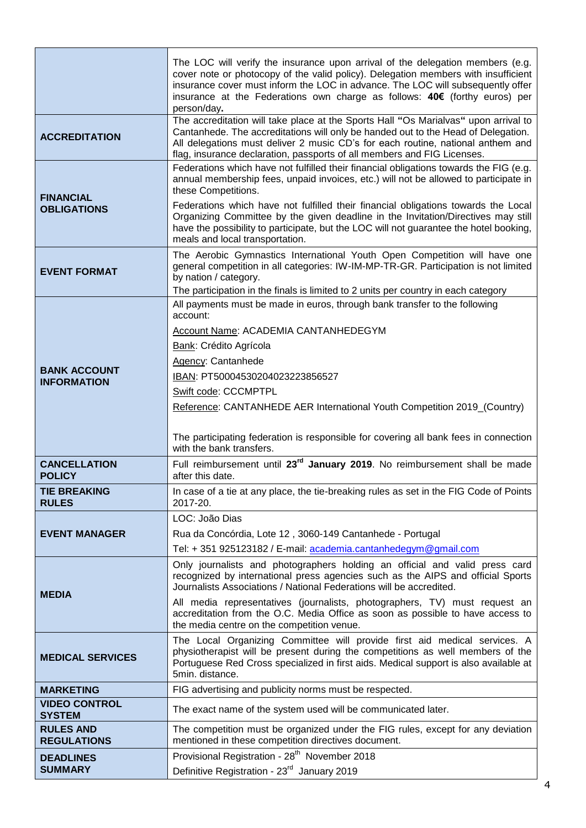|                                           | The LOC will verify the insurance upon arrival of the delegation members (e.g.<br>cover note or photocopy of the valid policy). Delegation members with insufficient<br>insurance cover must inform the LOC in advance. The LOC will subsequently offer<br>insurance at the Federations own charge as follows: 40€ (forthy euros) per<br>person/day. |
|-------------------------------------------|------------------------------------------------------------------------------------------------------------------------------------------------------------------------------------------------------------------------------------------------------------------------------------------------------------------------------------------------------|
| <b>ACCREDITATION</b>                      | The accreditation will take place at the Sports Hall "Os Marialvas" upon arrival to<br>Cantanhede. The accreditations will only be handed out to the Head of Delegation.<br>All delegations must deliver 2 music CD's for each routine, national anthem and<br>flag, insurance declaration, passports of all members and FIG Licenses.               |
| <b>FINANCIAL</b><br><b>OBLIGATIONS</b>    | Federations which have not fulfilled their financial obligations towards the FIG (e.g.<br>annual membership fees, unpaid invoices, etc.) will not be allowed to participate in<br>these Competitions.                                                                                                                                                |
|                                           | Federations which have not fulfilled their financial obligations towards the Local<br>Organizing Committee by the given deadline in the Invitation/Directives may still<br>have the possibility to participate, but the LOC will not guarantee the hotel booking,<br>meals and local transportation.                                                 |
| <b>EVENT FORMAT</b>                       | The Aerobic Gymnastics International Youth Open Competition will have one<br>general competition in all categories: IW-IM-MP-TR-GR. Participation is not limited<br>by nation / category.                                                                                                                                                            |
|                                           | The participation in the finals is limited to 2 units per country in each category                                                                                                                                                                                                                                                                   |
|                                           | All payments must be made in euros, through bank transfer to the following<br>account:                                                                                                                                                                                                                                                               |
|                                           | Account Name: ACADEMIA CANTANHEDEGYM                                                                                                                                                                                                                                                                                                                 |
|                                           | Bank: Crédito Agrícola                                                                                                                                                                                                                                                                                                                               |
|                                           | Agency: Cantanhede                                                                                                                                                                                                                                                                                                                                   |
| <b>BANK ACCOUNT</b><br><b>INFORMATION</b> | IBAN: PT50004530204023223856527                                                                                                                                                                                                                                                                                                                      |
|                                           | Swift code: CCCMPTPL                                                                                                                                                                                                                                                                                                                                 |
|                                           | Reference: CANTANHEDE AER International Youth Competition 2019_(Country)                                                                                                                                                                                                                                                                             |
|                                           | The participating federation is responsible for covering all bank fees in connection<br>with the bank transfers.                                                                                                                                                                                                                                     |
| <b>CANCELLATION</b>                       | Full reimbursement until 23 <sup>rd</sup> January 2019. No reimbursement shall be made                                                                                                                                                                                                                                                               |
| <b>POLICY</b>                             | after this date.                                                                                                                                                                                                                                                                                                                                     |
| <b>TIE BREAKING</b><br><b>RULES</b>       | In case of a tie at any place, the tie-breaking rules as set in the FIG Code of Points<br>2017-20.                                                                                                                                                                                                                                                   |
|                                           | LOC: João Dias                                                                                                                                                                                                                                                                                                                                       |
| <b>EVENT MANAGER</b>                      | Rua da Concórdia, Lote 12, 3060-149 Cantanhede - Portugal                                                                                                                                                                                                                                                                                            |
|                                           | Tel: +351 925123182 / E-mail: academia.cantanhedegym@gmail.com                                                                                                                                                                                                                                                                                       |
| <b>MEDIA</b>                              | Only journalists and photographers holding an official and valid press card<br>recognized by international press agencies such as the AIPS and official Sports<br>Journalists Associations / National Federations will be accredited.                                                                                                                |
|                                           | All media representatives (journalists, photographers, TV) must request an<br>accreditation from the O.C. Media Office as soon as possible to have access to<br>the media centre on the competition venue.                                                                                                                                           |
| <b>MEDICAL SERVICES</b>                   | The Local Organizing Committee will provide first aid medical services. A<br>physiotherapist will be present during the competitions as well members of the<br>Portuguese Red Cross specialized in first aids. Medical support is also available at<br>5min. distance.                                                                               |
| <b>MARKETING</b>                          | FIG advertising and publicity norms must be respected.                                                                                                                                                                                                                                                                                               |
| <b>VIDEO CONTROL</b><br><b>SYSTEM</b>     | The exact name of the system used will be communicated later.                                                                                                                                                                                                                                                                                        |
| <b>RULES AND</b><br><b>REGULATIONS</b>    | The competition must be organized under the FIG rules, except for any deviation<br>mentioned in these competition directives document.                                                                                                                                                                                                               |
| <b>DEADLINES</b>                          | Provisional Registration - 28 <sup>th</sup> November 2018                                                                                                                                                                                                                                                                                            |
| <b>SUMMARY</b>                            | Definitive Registration - 23 <sup>rd</sup> January 2019                                                                                                                                                                                                                                                                                              |